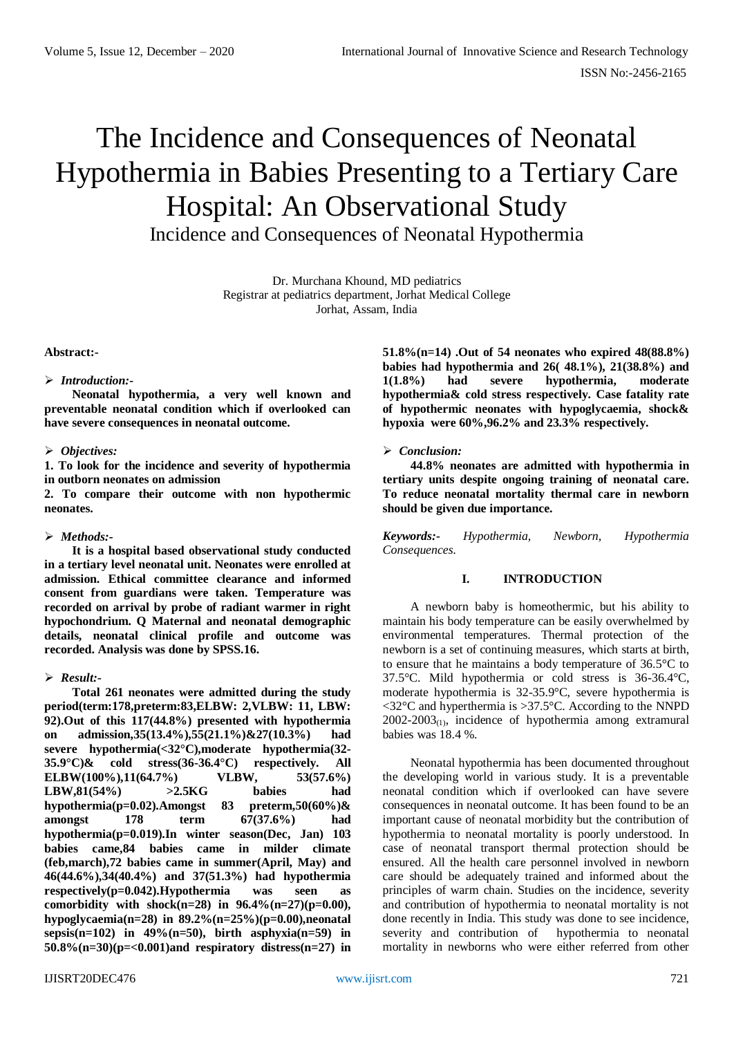# The Incidence and Consequences of Neonatal Hypothermia in Babies Presenting to a Tertiary Care Hospital: An Observational Study Incidence and Consequences of Neonatal Hypothermia

Dr. Murchana Khound, MD pediatrics Registrar at pediatrics department, Jorhat Medical College Jorhat, Assam, India

### **Abstract:-**

### *Introduction:-*

**Neonatal hypothermia, a very well known and preventable neonatal condition which if overlooked can have severe consequences in neonatal outcome.**

## *Objectives:*

**1. To look for the incidence and severity of hypothermia in outborn neonates on admission** 

**2. To compare their outcome with non hypothermic neonates.**

## *Methods:-*

**It is a hospital based observational study conducted in a tertiary level neonatal unit. Neonates were enrolled at admission. Ethical committee clearance and informed consent from guardians were taken. Temperature was recorded on arrival by probe of radiant warmer in right hypochondrium. Q Maternal and neonatal demographic details, neonatal clinical profile and outcome was recorded. Analysis was done by SPSS.16.**

## *Result:-*

**Total 261 neonates were admitted during the study period(term:178,preterm:83,ELBW: 2,VLBW: 11, LBW: 92).Out of this 117(44.8%) presented with hypothermia on admission,35(13.4%),55(21.1%)&27(10.3%) had severe hypothermia(<32°C),moderate hypothermia(32- 35.9°C)& cold stress(36-36.4°C) respectively. All ELBW(100%),11(64.7%) VLBW, 53(57.6%) LBW,81(54%) >2.5KG babies had hypothermia(p=0.02).Amongst 83 preterm,50(60%)& amongst 178 term 67(37.6%) had hypothermia(p=0.019).In winter season(Dec, Jan) 103 babies came,84 babies came in milder climate (feb,march),72 babies came in summer(April, May) and 46(44.6%),34(40.4%) and 37(51.3%) had hypothermia respectively(p=0.042).Hypothermia was seen as comorbidity with shock(n=28) in 96.4%(n=27)(p=0.00), hypoglycaemia(n=28) in 89.2%(n=25%)(p=0.00),neonatal sepsis(n=102) in 49%(n=50), birth asphyxia(n=59) in 50.8%(n=30)(p=<0.001)and respiratory distress(n=27) in** 

**51.8%(n=14) .Out of 54 neonates who expired 48(88.8%) babies had hypothermia and 26( 48.1%), 21(38.8%) and 1(1.8%) had severe hypothermia, moderate hypothermia& cold stress respectively. Case fatality rate of hypothermic neonates with hypoglycaemia, shock& hypoxia were 60%,96.2% and 23.3% respectively.**

# *Conclusion:*

**44.8% neonates are admitted with hypothermia in tertiary units despite ongoing training of neonatal care. To reduce neonatal mortality thermal care in newborn should be given due importance.** 

*Keywords:- Hypothermia, Newborn, Hypothermia Consequences.*

## **I. INTRODUCTION**

A newborn baby is homeothermic, but his ability to maintain his body temperature can be easily overwhelmed by environmental temperatures. Thermal protection of the newborn is a set of continuing measures, which starts at birth, to ensure that he maintains a body temperature of 36.5°C to 37.5°C. Mild hypothermia or cold stress is 36-36.4°C, moderate hypothermia is 32-35.9°C, severe hypothermia is <32°C and hyperthermia is >37.5°C. According to the NNPD  $2002-2003$ <sub>(1)</sub>, incidence of hypothermia among extramural babies was 18.4 %.

Neonatal hypothermia has been documented throughout the developing world in various study. It is a preventable neonatal condition which if overlooked can have severe consequences in neonatal outcome. It has been found to be an important cause of neonatal morbidity but the contribution of hypothermia to neonatal mortality is poorly understood. In case of neonatal transport thermal protection should be ensured. All the health care personnel involved in newborn care should be adequately trained and informed about the principles of warm chain. Studies on the incidence, severity and contribution of hypothermia to neonatal mortality is not done recently in India. This study was done to see incidence, severity and contribution of hypothermia to neonatal mortality in newborns who were either referred from other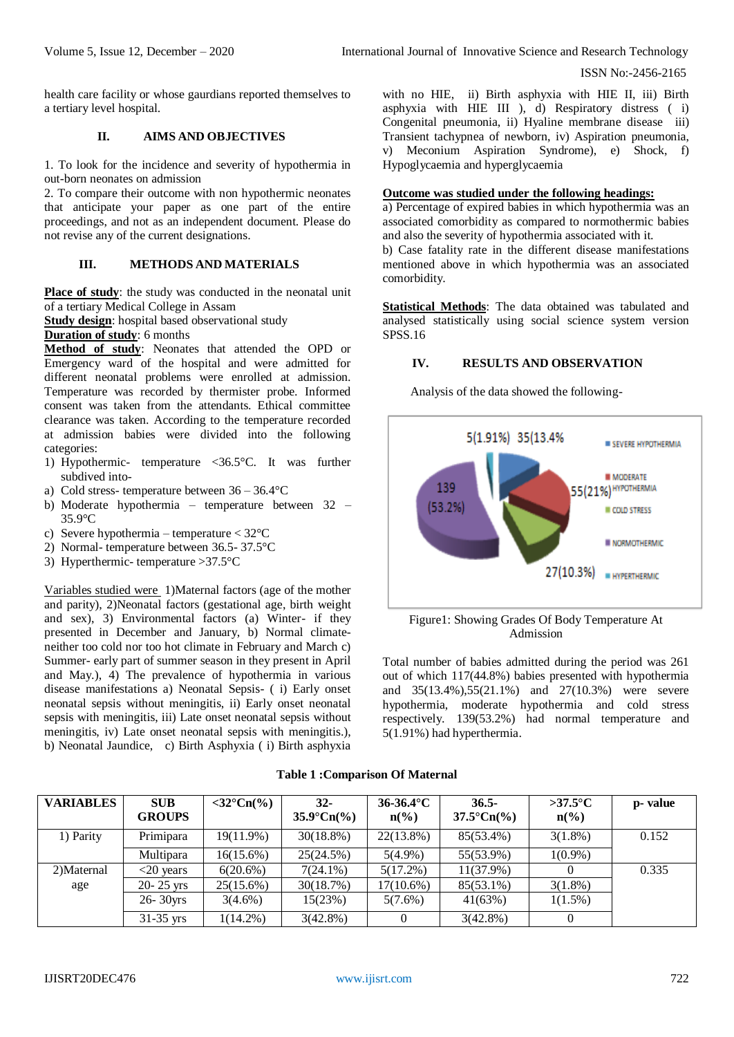ISSN No:-2456-2165

health care facility or whose gaurdians reported themselves to a tertiary level hospital.

# **II. AIMS AND OBJECTIVES**

1. To look for the incidence and severity of hypothermia in out-born neonates on admission

2. To compare their outcome with non hypothermic neonates that anticipate your paper as one part of the entire proceedings, and not as an independent document. Please do not revise any of the current designations.

# **III. METHODS AND MATERIALS**

**Place of study**: the study was conducted in the neonatal unit of a tertiary Medical College in Assam

**Study design**: hospital based observational study

# **Duration of study**: 6 months

**Method of study**: Neonates that attended the OPD or Emergency ward of the hospital and were admitted for different neonatal problems were enrolled at admission. Temperature was recorded by thermister probe. Informed consent was taken from the attendants. Ethical committee clearance was taken. According to the temperature recorded at admission babies were divided into the following categories:

- 1) Hypothermic- temperature <36.5°C. It was further subdived into-
- a) Cold stress- temperature between 36 36.4°C
- b) Moderate hypothermia temperature between 32 35.9°C
- c) Severe hypothermia temperature < 32°C
- 2) Normal- temperature between 36.5- 37.5°C
- 3) Hyperthermic- temperature >37.5°C

Variables studied were 1)Maternal factors (age of the mother and parity), 2)Neonatal factors (gestational age, birth weight and sex), 3) Environmental factors (a) Winter- if they presented in December and January, b) Normal climateneither too cold nor too hot climate in February and March c) Summer- early part of summer season in they present in April and May.), 4) The prevalence of hypothermia in various disease manifestations a) Neonatal Sepsis- ( i) Early onset neonatal sepsis without meningitis, ii) Early onset neonatal sepsis with meningitis, iii) Late onset neonatal sepsis without meningitis, iv) Late onset neonatal sepsis with meningitis.), b) Neonatal Jaundice, c) Birth Asphyxia ( i) Birth asphyxia

with no HIE, ii) Birth asphyxia with HIE II, iii) Birth asphyxia with HIE III ), d) Respiratory distress ( i) Congenital pneumonia, ii) Hyaline membrane disease iii) Transient tachypnea of newborn, iv) Aspiration pneumonia, v) Meconium Aspiration Syndrome), e) Shock, f) Hypoglycaemia and hyperglycaemia

# **Outcome was studied under the following headings:**

a) Percentage of expired babies in which hypothermia was an associated comorbidity as compared to normothermic babies and also the severity of hypothermia associated with it.

b) Case fatality rate in the different disease manifestations mentioned above in which hypothermia was an associated comorbidity.

**Statistical Methods**: The data obtained was tabulated and analysed statistically using social science system version SPSS.16

# **IV. RESULTS AND OBSERVATION**

Analysis of the data showed the following-



Figure1: Showing Grades Of Body Temperature At Admission

Total number of babies admitted during the period was 261 out of which 117(44.8%) babies presented with hypothermia and 35(13.4%),55(21.1%) and 27(10.3%) were severe hypothermia, moderate hypothermia and cold stress respectively. 139(53.2%) had normal temperature and 5(1.91%) had hyperthermia.

|  | <b>Table 1: Comparison Of Maternal</b> |  |
|--|----------------------------------------|--|
|--|----------------------------------------|--|

| <b>VARIABLES</b> | <b>SUB</b><br><b>GROUPS</b> | $\langle 32^{\circ} \text{Cn}(\% )$ | $32 -$<br>$35.9^{\circ}Cn(\%)$ | $36-36.4$ °C<br>$\mathbf{n}(\%)$ | $36.5 -$<br>$37.5^{\circ}Cn(\%)$ | $>37.5$ °C<br>$n\binom{0}{0}$ | p- value |
|------------------|-----------------------------|-------------------------------------|--------------------------------|----------------------------------|----------------------------------|-------------------------------|----------|
| 1) Parity        | Primipara                   | 19(11.9%)                           | $30(18.8\%)$                   | $22(13.8\%)$                     | 85(53.4%)                        | $3(1.8\%)$                    | 0.152    |
|                  | Multipara                   | $16(15.6\%)$                        | 25(24.5%)                      | $5(4.9\%)$                       | 55(53.9%)                        | $1(0.9\%)$                    |          |
| 2)Maternal       | $<20$ years                 | 6(20.6%)                            | $7(24.1\%)$                    | $5(17.2\%)$                      | $11(37.9\%)$                     |                               | 0.335    |
| age              | $20 - 25$ yrs               | $25(15.6\%)$                        | 30(18.7%)                      | $17(10.6\%)$                     | 85(53.1%)                        | $3(1.8\%)$                    |          |
|                  | $26 - 30$ yrs               | $3(4.6\%)$                          | 15(23%)                        | $5(7.6\%)$                       | 41(63%)                          | $1(1.5\%)$                    |          |
|                  | $31-35$ yrs                 | $1(14.2\%)$                         | $3(42.8\%)$                    |                                  | $3(42.8\%)$                      |                               |          |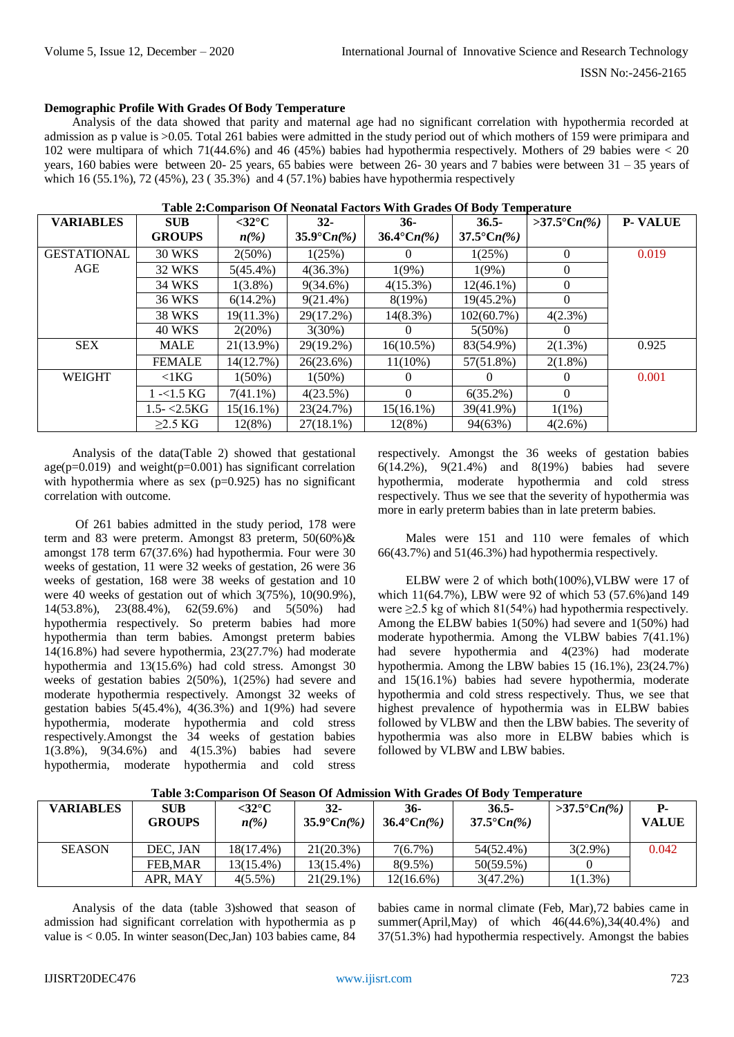### **Demographic Profile With Grades Of Body Temperature**

Analysis of the data showed that parity and maternal age had no significant correlation with hypothermia recorded at admission as p value is >0.05. Total 261 babies were admitted in the study period out of which mothers of 159 were primipara and 102 were multipara of which 71(44.6%) and 46 (45%) babies had hypothermia respectively. Mothers of 29 babies were < 20 years, 160 babies were between 20- 25 years, 65 babies were between 26- 30 years and 7 babies were between 31 – 35 years of which 16 (55.1%), 72 (45%), 23 ( 35.3%) and 4 (57.1%) babies have hypothermia respectively

| <b>VARIABLES</b>   | <b>SUB</b>        | $<$ 32 $\rm ^{\circ}C$   | $32 -$               | 36-                  | $36.5 -$             | $>37.5^{\circ}Cn(\%)$ | <b>P-VALUE</b> |
|--------------------|-------------------|--------------------------|----------------------|----------------------|----------------------|-----------------------|----------------|
|                    | <b>GROUPS</b>     | $n\llap{$\binom{0}{6}$}$ | $35.9^{\circ}Cn(\%)$ | $36.4^{\circ}Cn(\%)$ | $37.5^{\circ}Cn(\%)$ |                       |                |
| <b>GESTATIONAL</b> | <b>30 WKS</b>     | $2(50\%)$                | 1(25%)               | $\Omega$             | 1(25%)               | $\theta$              | 0.019          |
| AGE                | 32 WKS            | $5(45.4\%)$              | 4(36.3%)             | 1(9%)                | 1(9%)                | $\Omega$              |                |
|                    | 34 WKS            | $1(3.8\%)$               | $9(34.6\%)$          | $4(15.3\%)$          | $12(46.1\%)$         | $\theta$              |                |
|                    | 36 WKS            | $6(14.2\%)$              | $9(21.4\%)$          | 8(19%)               | 19(45.2%)            | $\Omega$              |                |
|                    | <b>38 WKS</b>     | 19(11.3%)                | 29(17.2%)            | $14(8.3\%)$          | 102(60.7%)           | $4(2.3\%)$            |                |
|                    | <b>40 WKS</b>     | $2(20\%)$                | $3(30\%)$            | $\theta$             | $5(50\%)$            | $\Omega$              |                |
| <b>SEX</b>         | <b>MALE</b>       | 21(13.9%)                | 29(19.2%)            | $16(10.5\%)$         | 83(54.9%)            | $2(1.3\%)$            | 0.925          |
|                    | <b>FEMALE</b>     | 14(12.7%)                | 26(23.6%)            | $11(10\%)$           | 57(51.8%)            | $2(1.8\%)$            |                |
| <b>WEIGHT</b>      | $\leq$ 1 $KG$     | $1(50\%)$                | $1(50\%)$            | $\theta$             | $_{0}$               | $\theta$              | 0.001          |
|                    | l -<1.5 KG        | $7(41.1\%)$              | $4(23.5\%)$          | $\Omega$             | $6(35.2\%)$          | $\Omega$              |                |
|                    | $1.5 - \le 2.5KG$ | 15(16.1%)                | 23(24.7%)            | $15(16.1\%)$         | 39(41.9%)            | $1(1\%)$              |                |
|                    | $>2.5$ KG         | 12(8%)                   | $27(18.1\%)$         | 12(8%)               | 94(63%)              | $4(2.6\%)$            |                |

#### **Table 2:Comparison Of Neonatal Factors With Grades Of Body Temperature**

Analysis of the data(Table 2) showed that gestational age( $p=0.019$ ) and weight( $p=0.001$ ) has significant correlation with hypothermia where as sex  $(p=0.925)$  has no significant correlation with outcome.

Of 261 babies admitted in the study period, 178 were term and 83 were preterm. Amongst 83 preterm, 50(60%)& amongst 178 term 67(37.6%) had hypothermia. Four were 30 weeks of gestation, 11 were 32 weeks of gestation, 26 were 36 weeks of gestation, 168 were 38 weeks of gestation and 10 were 40 weeks of gestation out of which 3(75%), 10(90.9%), 14(53.8%), 23(88.4%), 62(59.6%) and 5(50%) had hypothermia respectively. So preterm babies had more hypothermia than term babies. Amongst preterm babies 14(16.8%) had severe hypothermia, 23(27.7%) had moderate hypothermia and 13(15.6%) had cold stress. Amongst 30 weeks of gestation babies 2(50%), 1(25%) had severe and moderate hypothermia respectively. Amongst 32 weeks of gestation babies 5(45.4%), 4(36.3%) and 1(9%) had severe hypothermia, moderate hypothermia and cold stress respectively.Amongst the 34 weeks of gestation babies 1(3.8%), 9(34.6%) and 4(15.3%) babies had severe hypothermia, moderate hypothermia and cold stress

respectively. Amongst the 36 weeks of gestation babies 6(14.2%), 9(21.4%) and 8(19%) babies had severe hypothermia, moderate hypothermia and cold stress respectively. Thus we see that the severity of hypothermia was more in early preterm babies than in late preterm babies.

Males were 151 and 110 were females of which 66(43.7%) and 51(46.3%) had hypothermia respectively.

ELBW were 2 of which both(100%),VLBW were 17 of which 11(64.7%), LBW were 92 of which 53 (57.6%)and 149 were ≥2.5 kg of which 81(54%) had hypothermia respectively. Among the ELBW babies 1(50%) had severe and 1(50%) had moderate hypothermia. Among the VLBW babies 7(41.1%) had severe hypothermia and 4(23%) had moderate hypothermia. Among the LBW babies 15 (16.1%), 23(24.7%) and 15(16.1%) babies had severe hypothermia, moderate hypothermia and cold stress respectively. Thus, we see that highest prevalence of hypothermia was in ELBW babies followed by VLBW and then the LBW babies. The severity of hypothermia was also more in ELBW babies which is followed by VLBW and LBW babies.

| <b>VARIABLES</b> | <b>SUB</b><br><b>GROUPS</b> | $<$ 32 $\rm ^{\circ}C$<br>$n(\%)$ | $32-$<br>35.9°Cn(%) | 36-<br>36.4°Cn(%) | $36.5 -$<br>37.5°Cn(%) | $>37.5^{\circ}Cn(\%)$ | <b>VALUE</b> |
|------------------|-----------------------------|-----------------------------------|---------------------|-------------------|------------------------|-----------------------|--------------|
| <b>SEASON</b>    | DEC. JAN                    | 18(17.4%)                         | $21(20.3\%)$        | 7(6.7%)           | 54(52.4%)              | $3(2.9\%)$            | 0.042        |
|                  | <b>FEB.MAR</b>              | 13(15.4%)                         | 13(15.4%)           | $8(9.5\%)$        | $50(59.5\%)$           |                       |              |
|                  | APR. MAY                    | $4(5.5\%)$                        | $21(29.1\%)$        | $12(16.6\%)$      | $3(47.2\%)$            | $1(1.3\%)$            |              |

**Table 3:Comparison Of Season Of Admission With Grades Of Body Temperature**

Analysis of the data (table 3)showed that season of admission had significant correlation with hypothermia as p value is < 0.05. In winter season(Dec,Jan) 103 babies came, 84

babies came in normal climate (Feb, Mar),72 babies came in summer(April,May) of which 46(44.6%),34(40.4%) and 37(51.3%) had hypothermia respectively. Amongst the babies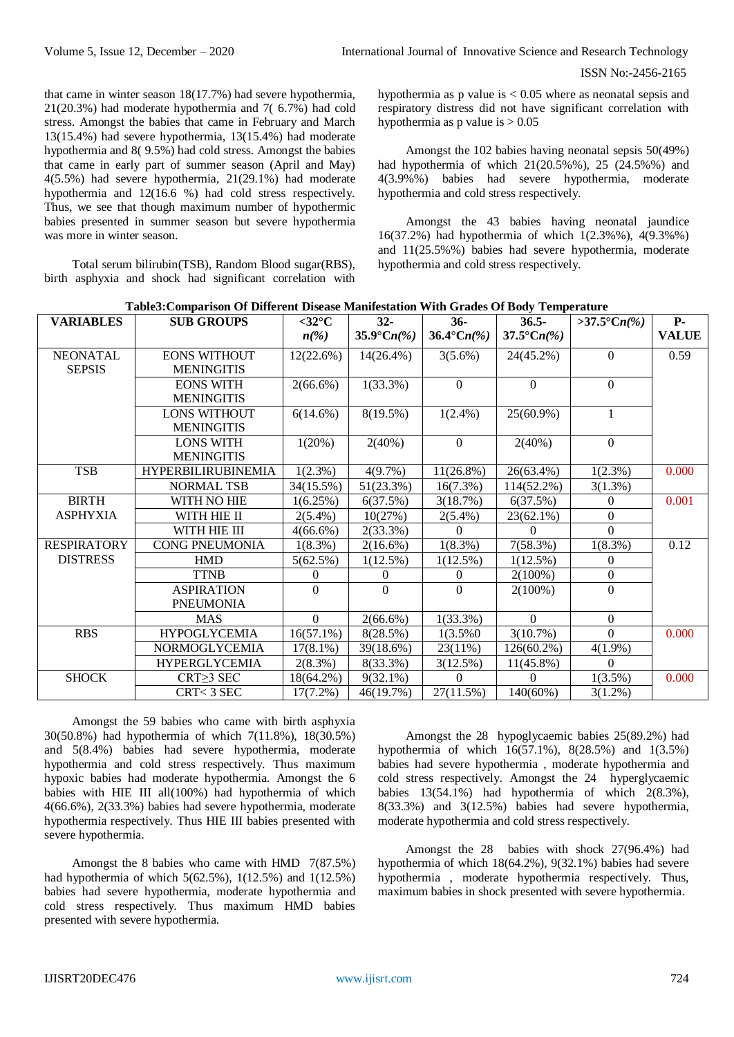that came in winter season 18(17.7%) had severe hypothermia, 21(20.3%) had moderate hypothermia and 7( 6.7%) had cold stress. Amongst the babies that came in February and March 13(15.4%) had severe hypothermia, 13(15.4%) had moderate hypothermia and 8( 9.5%) had cold stress. Amongst the babies that came in early part of summer season (April and May) 4(5.5%) had severe hypothermia, 21(29.1%) had moderate hypothermia and 12(16.6 %) had cold stress respectively. Thus, we see that though maximum number of hypothermic babies presented in summer season but severe hypothermia was more in winter season.

Total serum bilirubin(TSB), Random Blood sugar(RBS), birth asphyxia and shock had significant correlation with

hypothermia as p value is  $< 0.05$  where as neonatal sepsis and respiratory distress did not have significant correlation with hypothermia as  $p$  value is  $> 0.05$ 

Amongst the 102 babies having neonatal sepsis 50(49%) had hypothermia of which  $21(20.5\%), 25(24.5\%)$  and 4(3.9%%) babies had severe hypothermia, moderate hypothermia and cold stress respectively.

Amongst the 43 babies having neonatal jaundice 16(37.2%) had hypothermia of which 1(2.3%%), 4(9.3%%) and 11(25.5%%) babies had severe hypothermia, moderate hypothermia and cold stress respectively.

|  | Table 3: Comparison Of Different Disease Manifestation With Grades Of Body Temperature |  |  |  |  |  |
|--|----------------------------------------------------------------------------------------|--|--|--|--|--|
|--|----------------------------------------------------------------------------------------|--|--|--|--|--|

| <b>VARIABLES</b>   | <b>SUB GROUPS</b>         | $<$ 32 $\rm ^{\circ}C$ | $32 -$               | $36-$                | $36.5 -$             | >37.5°Cn(%)  | $P-$         |
|--------------------|---------------------------|------------------------|----------------------|----------------------|----------------------|--------------|--------------|
|                    |                           | $n(\%)$                | $35.9^{\circ}Cn(\%)$ | $36.4^{\circ}Cn(\%)$ | $37.5^{\circ}Cn(\%)$ |              | <b>VALUE</b> |
| <b>NEONATAL</b>    | <b>EONS WITHOUT</b>       | 12(22.6%)              | $14(26.4\%)$         | $3(5.6\%)$           | 24(45.2%)            | $\mathbf{0}$ | 0.59         |
| <b>SEPSIS</b>      | <b>MENINGITIS</b>         |                        |                      |                      |                      |              |              |
|                    | <b>EONS WITH</b>          | $2(66.6\%)$            | $1(33.3\%)$          | $\Omega$             | $\theta$             | $\theta$     |              |
|                    | <b>MENINGITIS</b>         |                        |                      |                      |                      |              |              |
|                    | LONS WITHOUT              | 6(14.6%)               | $8(19.5\%)$          | $1(2.4\%)$           | 25(60.9%)            | $\mathbf{1}$ |              |
|                    | <b>MENINGITIS</b>         |                        |                      |                      |                      |              |              |
|                    | <b>LONS WITH</b>          | 1(20%)                 | 2(40%)               | $\Omega$             | $2(40\%)$            | $\Omega$     |              |
|                    | <b>MENINGITIS</b>         |                        |                      |                      |                      |              |              |
| <b>TSB</b>         | <b>HYPERBILIRUBINEMIA</b> | $1(2.3\%)$             | 4(9.7%)              | $11(26.8\%)$         | 26(63.4%)            | $1(2.3\%)$   | 0.000        |
|                    | <b>NORMAL TSB</b>         | 34(15.5%)              | 51(23.3%)            | $16(7.3\%)$          | 114(52.2%)           | $3(1.3\%)$   |              |
| <b>BIRTH</b>       | WITH NO HIE               | 1(6.25%)               | 6(37.5%)             | 3(18.7%)             | 6(37.5%)             | 0            | 0.001        |
| <b>ASPHYXIA</b>    | WITH HIE II               | $2(5.4\%)$             | 10(27%)              | $2(5.4\%)$           | 23(62.1%)            | $\Omega$     |              |
|                    | WITH HIE III              | $4(66.6\%)$            | 2(33.3%)             | 0                    | $\Omega$             | $\Omega$     |              |
| <b>RESPIRATORY</b> | <b>CONG PNEUMONIA</b>     | $1(8.3\%)$             | $2(16.6\%)$          | $1(8.3\%)$           | 7(58.3%)             | $1(8.3\%)$   | 0.12         |
| <b>DISTRESS</b>    | <b>HMD</b>                | 5(62.5%)               | 1(12.5%)             | 1(12.5%)             | $1(12.5\%)$          | $\mathbf{0}$ |              |
|                    | <b>TTNB</b>               | $\Omega$               | $\Omega$             | 0                    | $2(100\%)$           | $\mathbf{0}$ |              |
|                    | <b>ASPIRATION</b>         | $\Omega$               | $\theta$             | $\theta$             | $2(100\%)$           | $\mathbf{0}$ |              |
|                    | <b>PNEUMONIA</b>          |                        |                      |                      |                      |              |              |
|                    | <b>MAS</b>                | $\Omega$               | $2(66.6\%)$          | $1(33.3\%)$          | $\Omega$             | $\Omega$     |              |
| <b>RBS</b>         | <b>HYPOGLYCEMIA</b>       | $16(57.1\%)$           | 8(28.5%)             | $1(3.5\%0)$          | 3(10.7%)             | $\Omega$     | 0.000        |
|                    | NORMOGLYCEMIA             | $17(8.1\%)$            | 39(18.6%)            | 23(11%)              | $126(60.2\%)$        | $4(1.9\%)$   |              |
|                    | <b>HYPERGLYCEMIA</b>      | 2(8.3%)                | 8(33.3%)             | 3(12.5%)             | $11(45.8\%)$         | $\Omega$     |              |
| <b>SHOCK</b>       | CRT>3 SEC                 | 18(64.2%)              | $9(32.1\%)$          | 0                    | $\Omega$             | $1(3.5\%)$   | 0.000        |
|                    | CRT<3 SEC                 | $17(7.2\%)$            | 46(19.7%)            | 27(11.5%)            | 140(60%)             | $3(1.2\%)$   |              |

Amongst the 59 babies who came with birth asphyxia 30(50.8%) had hypothermia of which 7(11.8%), 18(30.5%) and 5(8.4%) babies had severe hypothermia, moderate hypothermia and cold stress respectively. Thus maximum hypoxic babies had moderate hypothermia. Amongst the 6 babies with HIE III all(100%) had hypothermia of which 4(66.6%), 2(33.3%) babies had severe hypothermia, moderate hypothermia respectively. Thus HIE III babies presented with severe hypothermia.

Amongst the 8 babies who came with HMD 7(87.5%) had hypothermia of which 5(62.5%), 1(12.5%) and 1(12.5%) babies had severe hypothermia, moderate hypothermia and cold stress respectively. Thus maximum HMD babies presented with severe hypothermia.

Amongst the 28 hypoglycaemic babies 25(89.2%) had hypothermia of which 16(57.1%), 8(28.5%) and 1(3.5%) babies had severe hypothermia , moderate hypothermia and cold stress respectively. Amongst the 24 hyperglycaemic babies 13(54.1%) had hypothermia of which 2(8.3%), 8(33.3%) and 3(12.5%) babies had severe hypothermia, moderate hypothermia and cold stress respectively.

Amongst the 28 babies with shock 27(96.4%) had hypothermia of which 18(64.2%), 9(32.1%) babies had severe hypothermia , moderate hypothermia respectively. Thus, maximum babies in shock presented with severe hypothermia.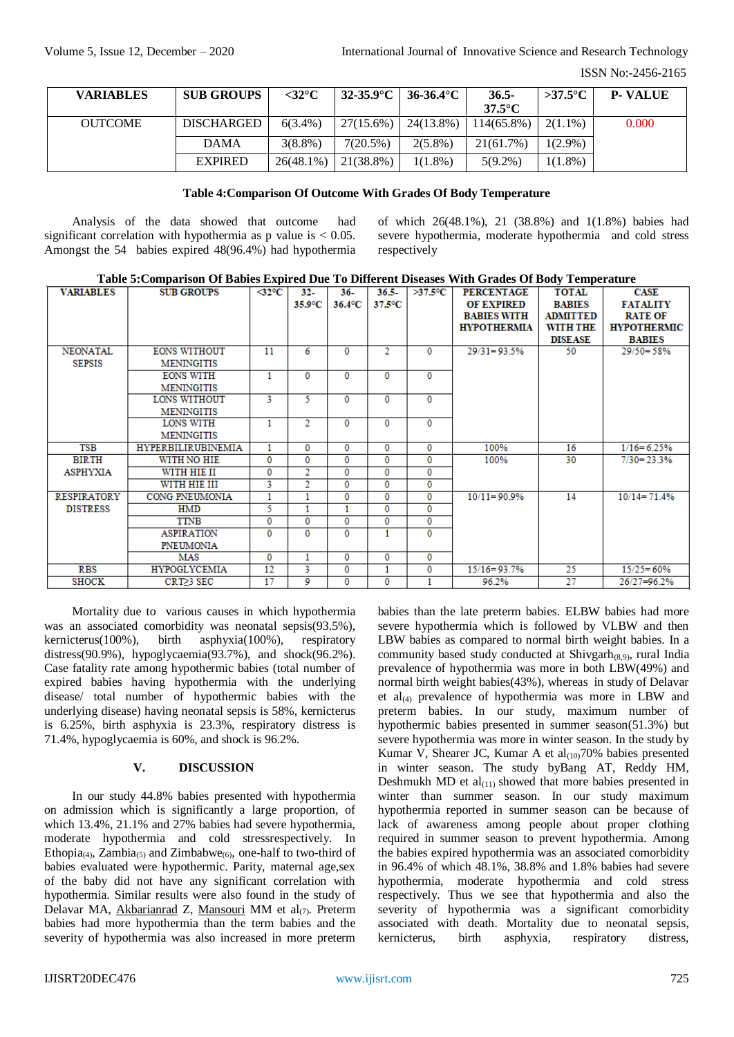#### ISSN No:-2456-2165

| <b>VARIABLES</b> | <b>SUB GROUPS</b> | $<$ 32 $^{\circ}$ C |              | $32-35.9$ °C   36-36.4°C | $36.5 -$         | $>37.5^{\circ}$ C | <b>P. VALUE</b> |
|------------------|-------------------|---------------------|--------------|--------------------------|------------------|-------------------|-----------------|
|                  |                   |                     |              |                          | $37.5^{\circ}$ C |                   |                 |
| <b>OUTCOME</b>   | <b>DISCHARGED</b> | $6(3.4\%)$          | $27(15.6\%)$ | $24(13.8\%)$             | $114(65.8\%)$    | $2(1.1\%)$        | 0.000           |
|                  | <b>DAMA</b>       | $3(8.8\%)$          | $7(20.5\%)$  | $2(5.8\%)$               | 21(61.7%)        | $1(2.9\%)$        |                 |
|                  | <b>EXPIRED</b>    | $26(48.1\%)$        | $21(38.8\%)$ | $1(1.8\%)$               | $5(9.2\%)$       | $1(1.8\%)$        |                 |

## **Table 4:Comparison Of Outcome With Grades Of Body Temperature**

Analysis of the data showed that outcome had significant correlation with hypothermia as p value is  $< 0.05$ . Amongst the 54 babies expired 48(96.4%) had hypothermia of which 26(48.1%), 21 (38.8%) and 1(1.8%) babies had severe hypothermia, moderate hypothermia and cold stress respectively

| <b>VARIABLES</b>   | <b>SUB GROUPS</b>         | $\triangleleft 2^{\circ}C$ | $32-$            | $36-$                 | $36.5 -$       | $>37.5$ °C   | <b>PERCENTAGE</b>  | <b>TOTAL</b>    | CASE               |
|--------------------|---------------------------|----------------------------|------------------|-----------------------|----------------|--------------|--------------------|-----------------|--------------------|
|                    |                           |                            | $35.9^{\circ}$ C | $36.4$ <sup>o</sup> C | 37.5°C         |              | <b>OF EXPIRED</b>  | <b>BABIES</b>   | <b>FATALITY</b>    |
|                    |                           |                            |                  |                       |                |              | <b>BABIES WITH</b> | <b>ADMITTED</b> | <b>RATE OF</b>     |
|                    |                           |                            |                  |                       |                |              | <b>HYPOTHERMIA</b> | WITH THE        | <b>HYPOTHERMIC</b> |
|                    |                           |                            |                  |                       |                |              |                    | <b>DISEASE</b>  | <b>BABIES</b>      |
| <b>NEONATAL</b>    | <b>EONS WITHOUT</b>       | 11                         | 6                | $\mathbf{0}$          | $\overline{2}$ | $\mathbf{0}$ | $29/31 = 93.5%$    | 50              | $29/50 = 58%$      |
| <b>SEPSIS</b>      | <b>MENINGITIS</b>         |                            |                  |                       |                |              |                    |                 |                    |
|                    | <b>EONS WITH</b>          |                            | $\mathbf{0}$     | $\mathbf{0}$          | $\bf{0}$       | $\mathbf{0}$ |                    |                 |                    |
|                    | <b>MENINGITIS</b>         |                            |                  |                       |                |              |                    |                 |                    |
|                    | LONS WITHOUT              | 3                          | 5                | $\Omega$              | 0              | 0            |                    |                 |                    |
|                    | <b>MENINGITIS</b>         |                            |                  |                       |                |              |                    |                 |                    |
|                    | LONS WITH                 |                            | 2                | $\Omega$              | $\Omega$       | $\Omega$     |                    |                 |                    |
|                    | <b>MENINGITIS</b>         |                            |                  |                       |                |              |                    |                 |                    |
| <b>TSB</b>         | <b>HYPERBILIRUBINEMIA</b> |                            | $\mathbf 0$      | $\bf{0}$              | 0              | 0            | 100%               | 16              | $1/16 = 6.25%$     |
| <b>BIRTH</b>       | WITH NO HIE               | $\Omega$                   | 0                | $\Omega$              | 0              | 0            | 100%               | 30              | $7/30 = 23.3%$     |
| <b>ASPHYXIA</b>    | WITH HIE II               | 0                          | 2                | $\bf{0}$              | 0              | 0            |                    |                 |                    |
|                    | WITH HIE III              | 3                          | 2                | $\bf{0}$              | 0              | $\bf{0}$     |                    |                 |                    |
| <b>RESPIRATORY</b> | CONG PNEUMONIA            |                            |                  | $\bf{0}$              | 0              | 0            | $10/11 = 90.9%$    | 14              | $10/14 = 71.4%$    |
| <b>DISTRESS</b>    | <b>HMD</b>                | 5.                         |                  |                       | 0              | $\bf{0}$     |                    |                 |                    |
|                    | <b>TTNB</b>               | 0                          | 0                | 0                     | 0              | 0            |                    |                 |                    |
|                    | <b>ASPIRATION</b>         | $\Omega$                   | $\Omega$         | $\Omega$              |                | $\Omega$     |                    |                 |                    |
|                    | PNEUMONIA                 |                            |                  |                       |                |              |                    |                 |                    |
|                    | MAS                       | 0                          |                  | $\bf{0}$              | 0              | 0            |                    |                 |                    |
| <b>RBS</b>         | <b>HYPOGLYCEMIA</b>       | 12                         | 3                | 0                     |                | 0            | $15/16 = 93.7%$    | 25              | $15/25 = 60%$      |
| <b>SHOCK</b>       | CRT≥3 SEC                 | 17                         | 9                | 0                     | 0              | 1            | 96.2%              | 27              | 26/27=96.2%        |

Mortality due to various causes in which hypothermia was an associated comorbidity was neonatal sepsis(93.5%), kernicterus(100%), birth asphyxia(100%), respiratory distress(90.9%), hypoglycaemia(93.7%), and shock(96.2%). Case fatality rate among hypothermic babies (total number of expired babies having hypothermia with the underlying disease/ total number of hypothermic babies with the underlying disease) having neonatal sepsis is 58%, kernicterus is 6.25%, birth asphyxia is 23.3%, respiratory distress is 71.4%, hypoglycaemia is 60%, and shock is 96.2%.

# **V. DISCUSSION**

In our study 44.8% babies presented with hypothermia on admission which is significantly a large proportion, of which 13.4%, 21.1% and 27% babies had severe hypothermia, moderate hypothermia and cold stressrespectively. In Ethopia<sub>(4)</sub>, Zambia<sub>(5)</sub> and Zimbabwe<sub>(6)</sub>, one-half to two-third of babies evaluated were hypothermic. Parity, maternal age,sex of the baby did not have any significant correlation with hypothermia. Similar results were also found in the study of Delavar MA, [Akbarianrad](http://www.ncbi.nlm.nih.gov/pubmed/?term=Akbarianrad%20Z%5BAuthor%5D&cauthor=true&cauthor_uid=25184096) Z, [Mansouri](http://www.ncbi.nlm.nih.gov/pubmed/?term=Mansouri%20M%5BAuthor%5D&cauthor=true&cauthor_uid=25184096) MM et al $(7)$ . Preterm babies had more hypothermia than the term babies and the severity of hypothermia was also increased in more preterm

babies than the late preterm babies. ELBW babies had more severe hypothermia which is followed by VLBW and then LBW babies as compared to normal birth weight babies. In a community based study conducted at  $\text{Shiygarh}_{(8,9)}$ , rural India prevalence of hypothermia was more in both LBW(49%) and normal birth weight babies(43%), whereas in study of Delavar et  $al_{(4)}$  prevalence of hypothermia was more in LBW and preterm babies. In our study, maximum number of hypothermic babies presented in summer season(51.3%) but severe hypothermia was more in winter season. In the study by Kumar V, Shearer JC, Kumar A et  $al_{(10)}70\%$  babies presented in winter season. The study byBang AT, Reddy HM, Deshmukh MD et  $al_{(11)}$  showed that more babies presented in winter than summer season. In our study maximum hypothermia reported in summer season can be because of lack of awareness among people about proper clothing required in summer season to prevent hypothermia. Among the babies expired hypothermia was an associated comorbidity in 96.4% of which 48.1%, 38.8% and 1.8% babies had severe hypothermia, moderate hypothermia and cold stress respectively. Thus we see that hypothermia and also the severity of hypothermia was a significant comorbidity associated with death. Mortality due to neonatal sepsis, kernicterus, birth asphyxia, respiratory distress,